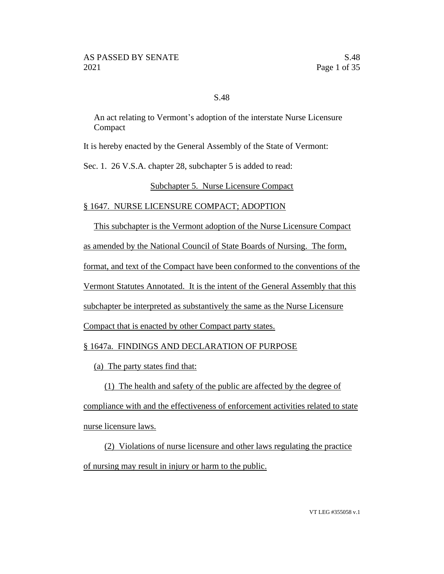## S.48

An act relating to Vermont's adoption of the interstate Nurse Licensure Compact

It is hereby enacted by the General Assembly of the State of Vermont:

Sec. 1. 26 V.S.A. chapter 28, subchapter 5 is added to read:

## Subchapter 5. Nurse Licensure Compact

## § 1647. NURSE LICENSURE COMPACT; ADOPTION

This subchapter is the Vermont adoption of the Nurse Licensure Compact

as amended by the National Council of State Boards of Nursing. The form,

format, and text of the Compact have been conformed to the conventions of the

Vermont Statutes Annotated. It is the intent of the General Assembly that this

subchapter be interpreted as substantively the same as the Nurse Licensure

Compact that is enacted by other Compact party states.

# § 1647a. FINDINGS AND DECLARATION OF PURPOSE

(a) The party states find that:

(1) The health and safety of the public are affected by the degree of compliance with and the effectiveness of enforcement activities related to state nurse licensure laws.

(2) Violations of nurse licensure and other laws regulating the practice of nursing may result in injury or harm to the public.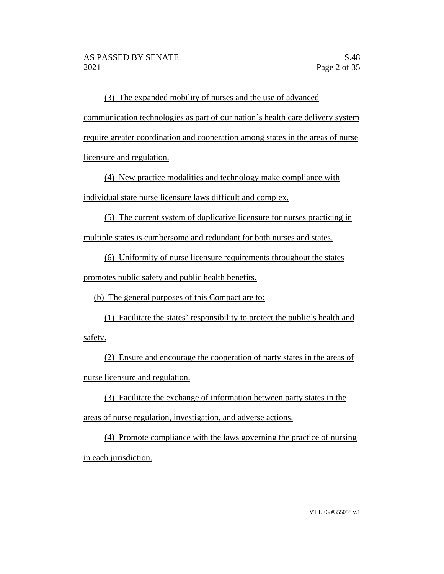(3) The expanded mobility of nurses and the use of advanced communication technologies as part of our nation's health care delivery system require greater coordination and cooperation among states in the areas of nurse licensure and regulation.

(4) New practice modalities and technology make compliance with individual state nurse licensure laws difficult and complex.

(5) The current system of duplicative licensure for nurses practicing in multiple states is cumbersome and redundant for both nurses and states.

(6) Uniformity of nurse licensure requirements throughout the states

promotes public safety and public health benefits.

(b) The general purposes of this Compact are to:

(1) Facilitate the states' responsibility to protect the public's health and safety.

(2) Ensure and encourage the cooperation of party states in the areas of nurse licensure and regulation.

(3) Facilitate the exchange of information between party states in the areas of nurse regulation, investigation, and adverse actions.

(4) Promote compliance with the laws governing the practice of nursing in each jurisdiction.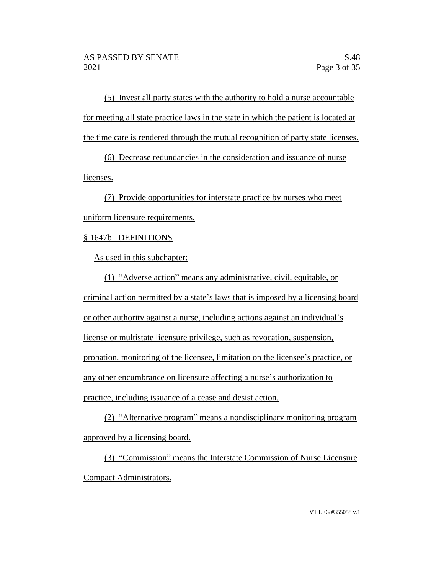(5) Invest all party states with the authority to hold a nurse accountable for meeting all state practice laws in the state in which the patient is located at the time care is rendered through the mutual recognition of party state licenses.

(6) Decrease redundancies in the consideration and issuance of nurse licenses.

(7) Provide opportunities for interstate practice by nurses who meet uniform licensure requirements.

# § 1647b. DEFINITIONS

As used in this subchapter:

(1) "Adverse action" means any administrative, civil, equitable, or criminal action permitted by a state's laws that is imposed by a licensing board or other authority against a nurse, including actions against an individual's license or multistate licensure privilege, such as revocation, suspension, probation, monitoring of the licensee, limitation on the licensee's practice, or any other encumbrance on licensure affecting a nurse's authorization to practice, including issuance of a cease and desist action.

(2) "Alternative program" means a nondisciplinary monitoring program approved by a licensing board.

(3) "Commission" means the Interstate Commission of Nurse Licensure Compact Administrators.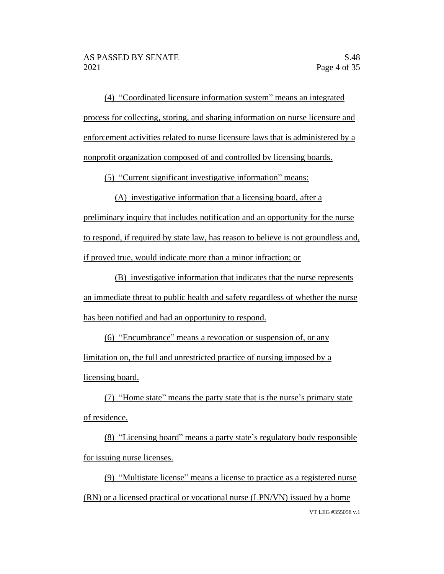(4) "Coordinated licensure information system" means an integrated process for collecting, storing, and sharing information on nurse licensure and enforcement activities related to nurse licensure laws that is administered by a nonprofit organization composed of and controlled by licensing boards.

(5) "Current significant investigative information" means:

(A) investigative information that a licensing board, after a preliminary inquiry that includes notification and an opportunity for the nurse to respond, if required by state law, has reason to believe is not groundless and, if proved true, would indicate more than a minor infraction; or

(B) investigative information that indicates that the nurse represents an immediate threat to public health and safety regardless of whether the nurse has been notified and had an opportunity to respond.

(6) "Encumbrance" means a revocation or suspension of, or any limitation on, the full and unrestricted practice of nursing imposed by a licensing board.

(7) "Home state" means the party state that is the nurse's primary state of residence.

(8) "Licensing board" means a party state's regulatory body responsible for issuing nurse licenses.

VT LEG #355058 v.1 (9) "Multistate license" means a license to practice as a registered nurse (RN) or a licensed practical or vocational nurse (LPN/VN) issued by a home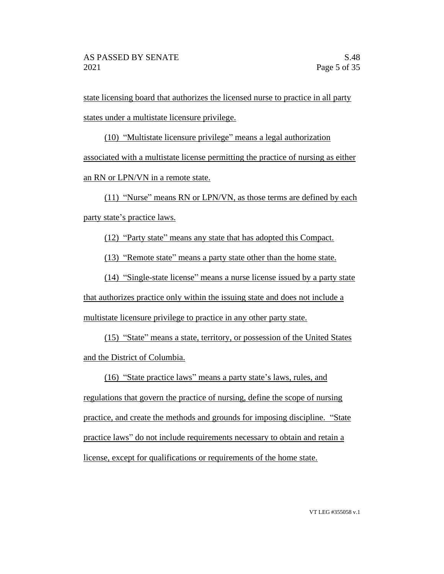state licensing board that authorizes the licensed nurse to practice in all party states under a multistate licensure privilege.

(10) "Multistate licensure privilege" means a legal authorization associated with a multistate license permitting the practice of nursing as either an RN or LPN/VN in a remote state.

(11) "Nurse" means RN or LPN/VN, as those terms are defined by each party state's practice laws.

(12) "Party state" means any state that has adopted this Compact.

(13) "Remote state" means a party state other than the home state.

(14) "Single-state license" means a nurse license issued by a party state that authorizes practice only within the issuing state and does not include a multistate licensure privilege to practice in any other party state.

(15) "State" means a state, territory, or possession of the United States and the District of Columbia.

(16) "State practice laws" means a party state's laws, rules, and

regulations that govern the practice of nursing, define the scope of nursing practice, and create the methods and grounds for imposing discipline. "State practice laws" do not include requirements necessary to obtain and retain a license, except for qualifications or requirements of the home state.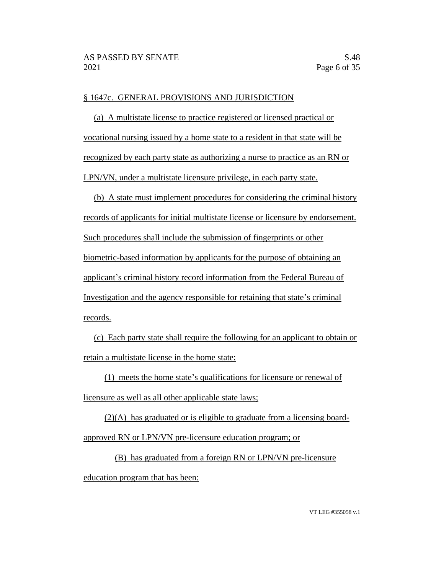## § 1647c. GENERAL PROVISIONS AND JURISDICTION

(a) A multistate license to practice registered or licensed practical or vocational nursing issued by a home state to a resident in that state will be recognized by each party state as authorizing a nurse to practice as an RN or LPN/VN, under a multistate licensure privilege, in each party state.

(b) A state must implement procedures for considering the criminal history records of applicants for initial multistate license or licensure by endorsement. Such procedures shall include the submission of fingerprints or other biometric-based information by applicants for the purpose of obtaining an applicant's criminal history record information from the Federal Bureau of Investigation and the agency responsible for retaining that state's criminal records.

(c) Each party state shall require the following for an applicant to obtain or retain a multistate license in the home state:

(1) meets the home state's qualifications for licensure or renewal of

licensure as well as all other applicable state laws;

(2)(A) has graduated or is eligible to graduate from a licensing boardapproved RN or LPN/VN pre-licensure education program; or

(B) has graduated from a foreign RN or LPN/VN pre-licensure education program that has been: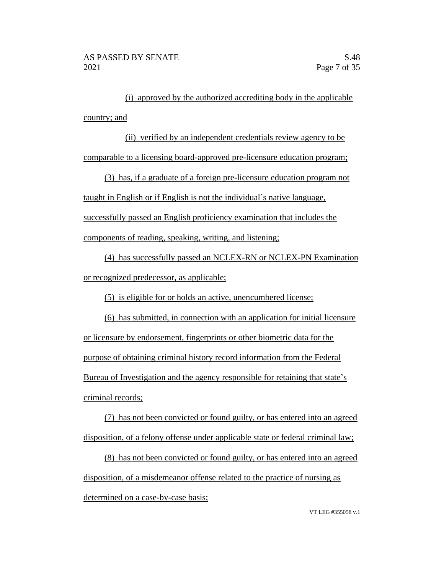(i) approved by the authorized accrediting body in the applicable country; and

(ii) verified by an independent credentials review agency to be comparable to a licensing board-approved pre-licensure education program;

(3) has, if a graduate of a foreign pre-licensure education program not taught in English or if English is not the individual's native language, successfully passed an English proficiency examination that includes the components of reading, speaking, writing, and listening;

(4) has successfully passed an NCLEX-RN or NCLEX-PN Examination or recognized predecessor, as applicable;

(5) is eligible for or holds an active, unencumbered license;

(6) has submitted, in connection with an application for initial licensure or licensure by endorsement, fingerprints or other biometric data for the purpose of obtaining criminal history record information from the Federal Bureau of Investigation and the agency responsible for retaining that state's criminal records;

(7) has not been convicted or found guilty, or has entered into an agreed disposition, of a felony offense under applicable state or federal criminal law;

(8) has not been convicted or found guilty, or has entered into an agreed disposition, of a misdemeanor offense related to the practice of nursing as determined on a case-by-case basis;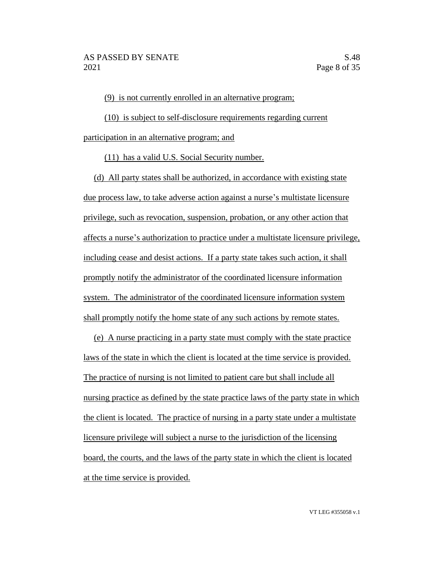(9) is not currently enrolled in an alternative program;

(10) is subject to self-disclosure requirements regarding current participation in an alternative program; and

(11) has a valid U.S. Social Security number.

(d) All party states shall be authorized, in accordance with existing state due process law, to take adverse action against a nurse's multistate licensure privilege, such as revocation, suspension, probation, or any other action that affects a nurse's authorization to practice under a multistate licensure privilege, including cease and desist actions. If a party state takes such action, it shall promptly notify the administrator of the coordinated licensure information system. The administrator of the coordinated licensure information system shall promptly notify the home state of any such actions by remote states.

(e) A nurse practicing in a party state must comply with the state practice laws of the state in which the client is located at the time service is provided. The practice of nursing is not limited to patient care but shall include all nursing practice as defined by the state practice laws of the party state in which the client is located. The practice of nursing in a party state under a multistate licensure privilege will subject a nurse to the jurisdiction of the licensing board, the courts, and the laws of the party state in which the client is located at the time service is provided.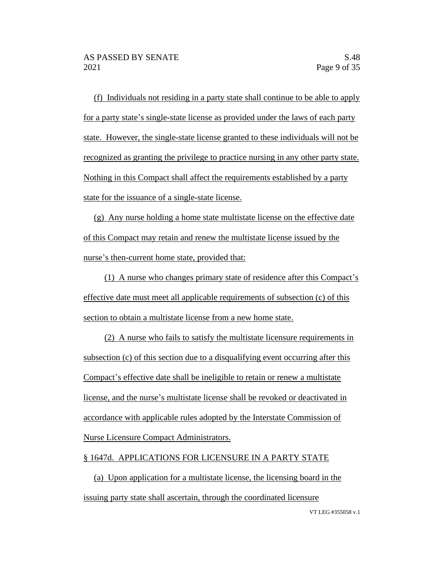(f) Individuals not residing in a party state shall continue to be able to apply for a party state's single-state license as provided under the laws of each party state. However, the single-state license granted to these individuals will not be recognized as granting the privilege to practice nursing in any other party state. Nothing in this Compact shall affect the requirements established by a party state for the issuance of a single-state license.

(g) Any nurse holding a home state multistate license on the effective date of this Compact may retain and renew the multistate license issued by the nurse's then-current home state, provided that:

(1) A nurse who changes primary state of residence after this Compact's effective date must meet all applicable requirements of subsection (c) of this section to obtain a multistate license from a new home state.

(2) A nurse who fails to satisfy the multistate licensure requirements in subsection (c) of this section due to a disqualifying event occurring after this Compact's effective date shall be ineligible to retain or renew a multistate license, and the nurse's multistate license shall be revoked or deactivated in accordance with applicable rules adopted by the Interstate Commission of Nurse Licensure Compact Administrators.

# § 1647d. APPLICATIONS FOR LICENSURE IN A PARTY STATE

(a) Upon application for a multistate license, the licensing board in the issuing party state shall ascertain, through the coordinated licensure

VT LEG #355058 v.1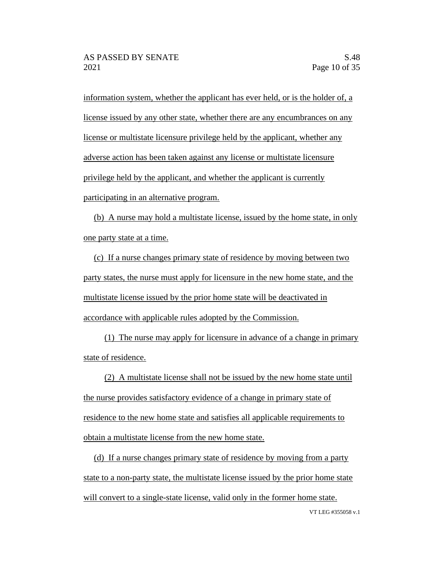information system, whether the applicant has ever held, or is the holder of, a license issued by any other state, whether there are any encumbrances on any license or multistate licensure privilege held by the applicant, whether any adverse action has been taken against any license or multistate licensure privilege held by the applicant, and whether the applicant is currently participating in an alternative program.

(b) A nurse may hold a multistate license, issued by the home state, in only one party state at a time.

(c) If a nurse changes primary state of residence by moving between two party states, the nurse must apply for licensure in the new home state, and the multistate license issued by the prior home state will be deactivated in accordance with applicable rules adopted by the Commission.

(1) The nurse may apply for licensure in advance of a change in primary state of residence.

(2) A multistate license shall not be issued by the new home state until the nurse provides satisfactory evidence of a change in primary state of residence to the new home state and satisfies all applicable requirements to obtain a multistate license from the new home state.

(d) If a nurse changes primary state of residence by moving from a party state to a non-party state, the multistate license issued by the prior home state will convert to a single-state license, valid only in the former home state.

VT LEG #355058 v.1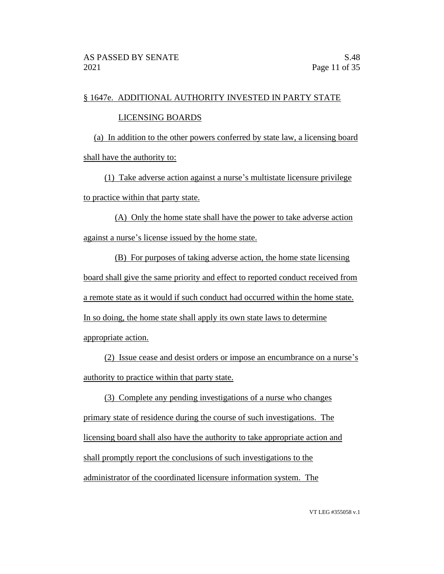# § 1647e. ADDITIONAL AUTHORITY INVESTED IN PARTY STATE

## LICENSING BOARDS

(a) In addition to the other powers conferred by state law, a licensing board shall have the authority to:

(1) Take adverse action against a nurse's multistate licensure privilege to practice within that party state.

(A) Only the home state shall have the power to take adverse action against a nurse's license issued by the home state.

(B) For purposes of taking adverse action, the home state licensing board shall give the same priority and effect to reported conduct received from a remote state as it would if such conduct had occurred within the home state. In so doing, the home state shall apply its own state laws to determine appropriate action.

(2) Issue cease and desist orders or impose an encumbrance on a nurse's authority to practice within that party state.

(3) Complete any pending investigations of a nurse who changes primary state of residence during the course of such investigations. The licensing board shall also have the authority to take appropriate action and shall promptly report the conclusions of such investigations to the administrator of the coordinated licensure information system. The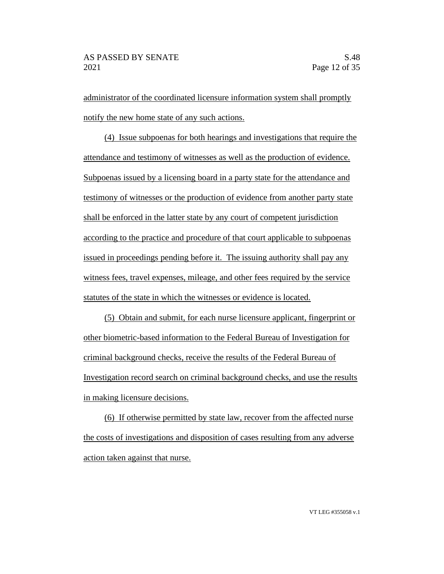administrator of the coordinated licensure information system shall promptly notify the new home state of any such actions.

(4) Issue subpoenas for both hearings and investigations that require the attendance and testimony of witnesses as well as the production of evidence. Subpoenas issued by a licensing board in a party state for the attendance and testimony of witnesses or the production of evidence from another party state shall be enforced in the latter state by any court of competent jurisdiction according to the practice and procedure of that court applicable to subpoenas issued in proceedings pending before it. The issuing authority shall pay any witness fees, travel expenses, mileage, and other fees required by the service statutes of the state in which the witnesses or evidence is located.

(5) Obtain and submit, for each nurse licensure applicant, fingerprint or other biometric-based information to the Federal Bureau of Investigation for criminal background checks, receive the results of the Federal Bureau of Investigation record search on criminal background checks, and use the results in making licensure decisions.

(6) If otherwise permitted by state law, recover from the affected nurse the costs of investigations and disposition of cases resulting from any adverse action taken against that nurse.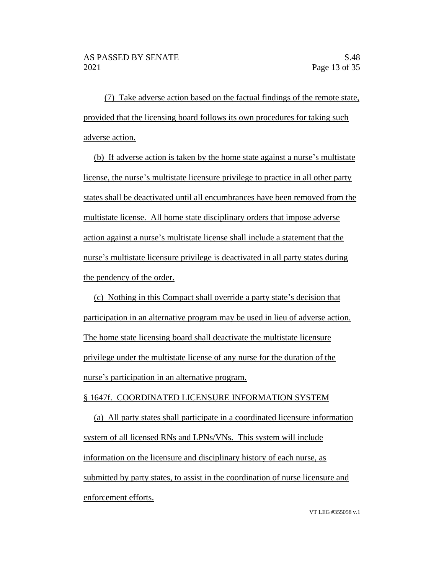(7) Take adverse action based on the factual findings of the remote state, provided that the licensing board follows its own procedures for taking such adverse action.

(b) If adverse action is taken by the home state against a nurse's multistate license, the nurse's multistate licensure privilege to practice in all other party states shall be deactivated until all encumbrances have been removed from the multistate license. All home state disciplinary orders that impose adverse action against a nurse's multistate license shall include a statement that the nurse's multistate licensure privilege is deactivated in all party states during the pendency of the order.

(c) Nothing in this Compact shall override a party state's decision that participation in an alternative program may be used in lieu of adverse action. The home state licensing board shall deactivate the multistate licensure privilege under the multistate license of any nurse for the duration of the nurse's participation in an alternative program.

#### § 1647f. COORDINATED LICENSURE INFORMATION SYSTEM

(a) All party states shall participate in a coordinated licensure information system of all licensed RNs and LPNs/VNs. This system will include information on the licensure and disciplinary history of each nurse, as submitted by party states, to assist in the coordination of nurse licensure and enforcement efforts.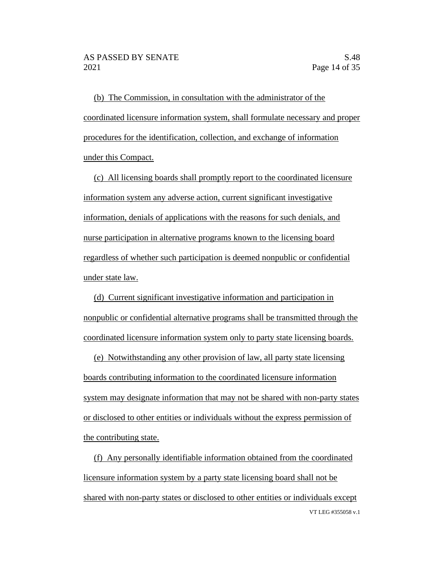(b) The Commission, in consultation with the administrator of the coordinated licensure information system, shall formulate necessary and proper procedures for the identification, collection, and exchange of information under this Compact.

(c) All licensing boards shall promptly report to the coordinated licensure information system any adverse action, current significant investigative information, denials of applications with the reasons for such denials, and nurse participation in alternative programs known to the licensing board regardless of whether such participation is deemed nonpublic or confidential under state law.

(d) Current significant investigative information and participation in nonpublic or confidential alternative programs shall be transmitted through the coordinated licensure information system only to party state licensing boards.

(e) Notwithstanding any other provision of law, all party state licensing boards contributing information to the coordinated licensure information system may designate information that may not be shared with non-party states or disclosed to other entities or individuals without the express permission of the contributing state.

VT LEG #355058 v.1 (f) Any personally identifiable information obtained from the coordinated licensure information system by a party state licensing board shall not be shared with non-party states or disclosed to other entities or individuals except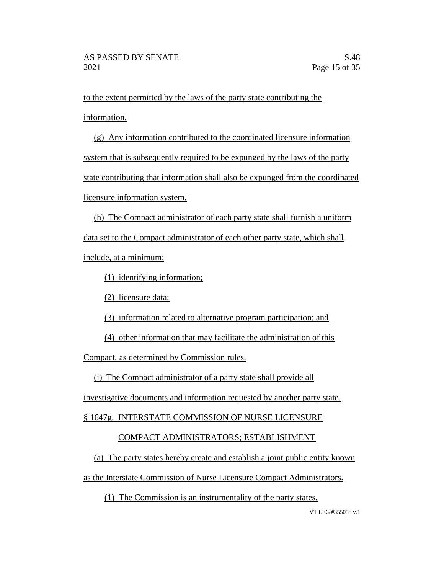to the extent permitted by the laws of the party state contributing the information.

(g) Any information contributed to the coordinated licensure information system that is subsequently required to be expunged by the laws of the party state contributing that information shall also be expunged from the coordinated licensure information system.

(h) The Compact administrator of each party state shall furnish a uniform data set to the Compact administrator of each other party state, which shall include, at a minimum:

(1) identifying information;

(2) licensure data;

(3) information related to alternative program participation; and

(4) other information that may facilitate the administration of this

Compact, as determined by Commission rules.

(i) The Compact administrator of a party state shall provide all

investigative documents and information requested by another party state.

§ 1647g. INTERSTATE COMMISSION OF NURSE LICENSURE

# COMPACT ADMINISTRATORS; ESTABLISHMENT

(a) The party states hereby create and establish a joint public entity known

as the Interstate Commission of Nurse Licensure Compact Administrators.

(1) The Commission is an instrumentality of the party states.

VT LEG #355058 v.1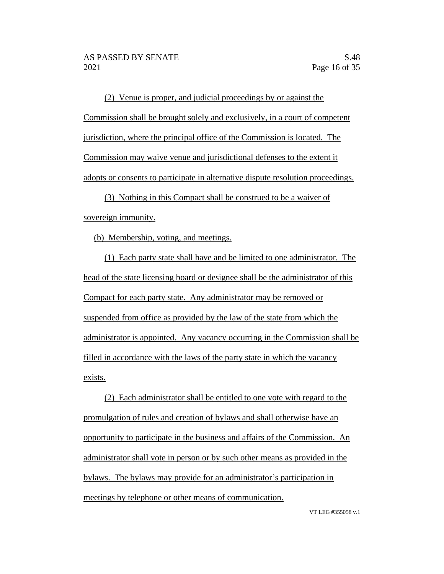(2) Venue is proper, and judicial proceedings by or against the Commission shall be brought solely and exclusively, in a court of competent jurisdiction, where the principal office of the Commission is located. The Commission may waive venue and jurisdictional defenses to the extent it adopts or consents to participate in alternative dispute resolution proceedings.

(3) Nothing in this Compact shall be construed to be a waiver of sovereign immunity.

(b) Membership, voting, and meetings.

(1) Each party state shall have and be limited to one administrator. The head of the state licensing board or designee shall be the administrator of this Compact for each party state. Any administrator may be removed or suspended from office as provided by the law of the state from which the administrator is appointed. Any vacancy occurring in the Commission shall be filled in accordance with the laws of the party state in which the vacancy exists.

(2) Each administrator shall be entitled to one vote with regard to the promulgation of rules and creation of bylaws and shall otherwise have an opportunity to participate in the business and affairs of the Commission. An administrator shall vote in person or by such other means as provided in the bylaws. The bylaws may provide for an administrator's participation in meetings by telephone or other means of communication.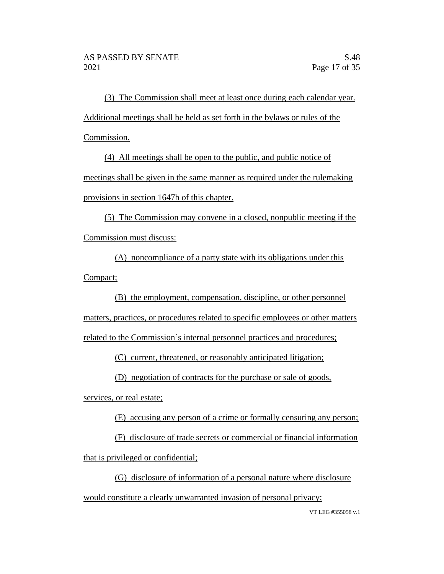(3) The Commission shall meet at least once during each calendar year. Additional meetings shall be held as set forth in the bylaws or rules of the Commission.

(4) All meetings shall be open to the public, and public notice of meetings shall be given in the same manner as required under the rulemaking provisions in section 1647h of this chapter.

(5) The Commission may convene in a closed, nonpublic meeting if the Commission must discuss:

(A) noncompliance of a party state with its obligations under this Compact;

(B) the employment, compensation, discipline, or other personnel matters, practices, or procedures related to specific employees or other matters related to the Commission's internal personnel practices and procedures;

(C) current, threatened, or reasonably anticipated litigation;

(D) negotiation of contracts for the purchase or sale of goods,

services, or real estate;

(E) accusing any person of a crime or formally censuring any person;

(F) disclosure of trade secrets or commercial or financial information that is privileged or confidential;

(G) disclosure of information of a personal nature where disclosure would constitute a clearly unwarranted invasion of personal privacy;

VT LEG #355058 v.1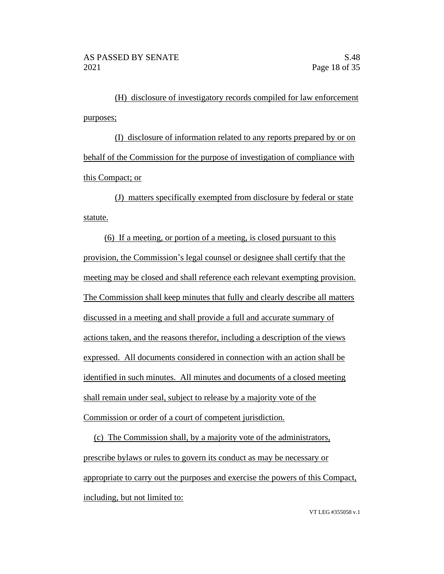(H) disclosure of investigatory records compiled for law enforcement purposes;

(I) disclosure of information related to any reports prepared by or on behalf of the Commission for the purpose of investigation of compliance with this Compact; or

(J) matters specifically exempted from disclosure by federal or state statute.

(6) If a meeting, or portion of a meeting, is closed pursuant to this provision, the Commission's legal counsel or designee shall certify that the meeting may be closed and shall reference each relevant exempting provision. The Commission shall keep minutes that fully and clearly describe all matters discussed in a meeting and shall provide a full and accurate summary of actions taken, and the reasons therefor, including a description of the views expressed. All documents considered in connection with an action shall be identified in such minutes. All minutes and documents of a closed meeting shall remain under seal, subject to release by a majority vote of the Commission or order of a court of competent jurisdiction.

(c) The Commission shall, by a majority vote of the administrators, prescribe bylaws or rules to govern its conduct as may be necessary or appropriate to carry out the purposes and exercise the powers of this Compact, including, but not limited to: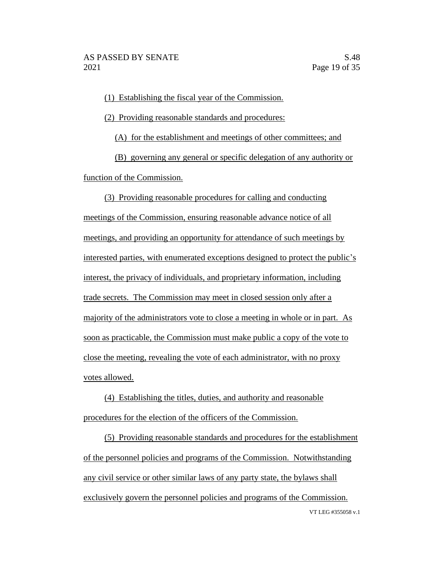(1) Establishing the fiscal year of the Commission.

(2) Providing reasonable standards and procedures:

(A) for the establishment and meetings of other committees; and

(B) governing any general or specific delegation of any authority or function of the Commission.

(3) Providing reasonable procedures for calling and conducting meetings of the Commission, ensuring reasonable advance notice of all meetings, and providing an opportunity for attendance of such meetings by interested parties, with enumerated exceptions designed to protect the public's interest, the privacy of individuals, and proprietary information, including trade secrets. The Commission may meet in closed session only after a majority of the administrators vote to close a meeting in whole or in part. As soon as practicable, the Commission must make public a copy of the vote to close the meeting, revealing the vote of each administrator, with no proxy votes allowed.

(4) Establishing the titles, duties, and authority and reasonable procedures for the election of the officers of the Commission.

VT LEG #355058 v.1 (5) Providing reasonable standards and procedures for the establishment of the personnel policies and programs of the Commission. Notwithstanding any civil service or other similar laws of any party state, the bylaws shall exclusively govern the personnel policies and programs of the Commission.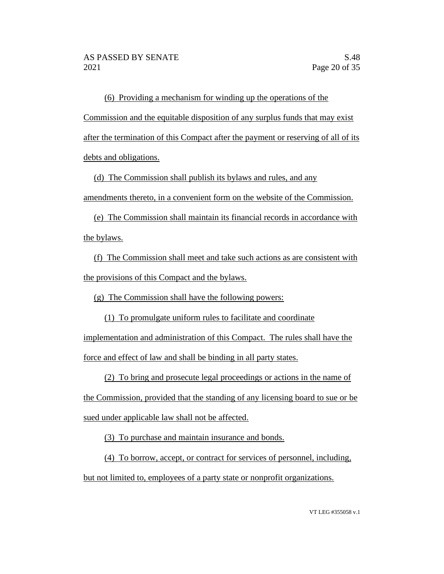(6) Providing a mechanism for winding up the operations of the Commission and the equitable disposition of any surplus funds that may exist after the termination of this Compact after the payment or reserving of all of its debts and obligations.

(d) The Commission shall publish its bylaws and rules, and any

amendments thereto, in a convenient form on the website of the Commission.

(e) The Commission shall maintain its financial records in accordance with the bylaws.

(f) The Commission shall meet and take such actions as are consistent with the provisions of this Compact and the bylaws.

(g) The Commission shall have the following powers:

(1) To promulgate uniform rules to facilitate and coordinate implementation and administration of this Compact. The rules shall have the force and effect of law and shall be binding in all party states.

(2) To bring and prosecute legal proceedings or actions in the name of

the Commission, provided that the standing of any licensing board to sue or be sued under applicable law shall not be affected.

(3) To purchase and maintain insurance and bonds.

(4) To borrow, accept, or contract for services of personnel, including,

but not limited to, employees of a party state or nonprofit organizations.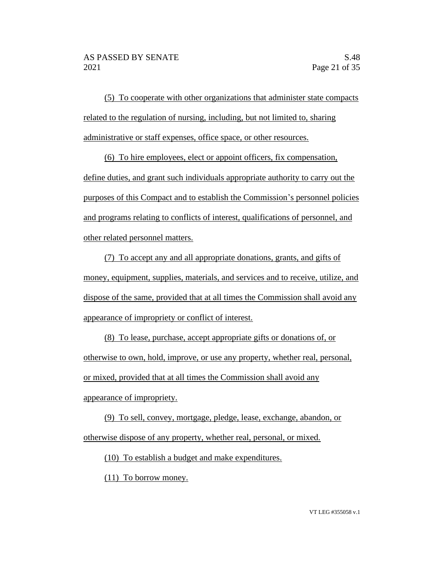(5) To cooperate with other organizations that administer state compacts related to the regulation of nursing, including, but not limited to, sharing administrative or staff expenses, office space, or other resources.

(6) To hire employees, elect or appoint officers, fix compensation, define duties, and grant such individuals appropriate authority to carry out the purposes of this Compact and to establish the Commission's personnel policies and programs relating to conflicts of interest, qualifications of personnel, and other related personnel matters.

(7) To accept any and all appropriate donations, grants, and gifts of money, equipment, supplies, materials, and services and to receive, utilize, and dispose of the same, provided that at all times the Commission shall avoid any appearance of impropriety or conflict of interest.

(8) To lease, purchase, accept appropriate gifts or donations of, or otherwise to own, hold, improve, or use any property, whether real, personal, or mixed, provided that at all times the Commission shall avoid any appearance of impropriety.

(9) To sell, convey, mortgage, pledge, lease, exchange, abandon, or otherwise dispose of any property, whether real, personal, or mixed.

(10) To establish a budget and make expenditures.

(11) To borrow money.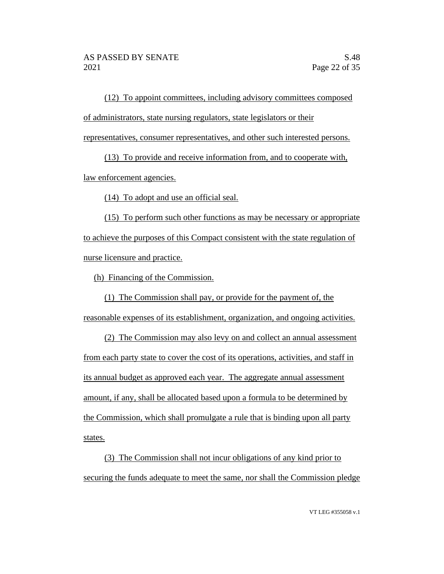(12) To appoint committees, including advisory committees composed of administrators, state nursing regulators, state legislators or their representatives, consumer representatives, and other such interested persons.

(13) To provide and receive information from, and to cooperate with, law enforcement agencies.

(14) To adopt and use an official seal.

(15) To perform such other functions as may be necessary or appropriate to achieve the purposes of this Compact consistent with the state regulation of nurse licensure and practice.

(h) Financing of the Commission.

(1) The Commission shall pay, or provide for the payment of, the reasonable expenses of its establishment, organization, and ongoing activities.

(2) The Commission may also levy on and collect an annual assessment from each party state to cover the cost of its operations, activities, and staff in its annual budget as approved each year. The aggregate annual assessment amount, if any, shall be allocated based upon a formula to be determined by the Commission, which shall promulgate a rule that is binding upon all party states.

(3) The Commission shall not incur obligations of any kind prior to securing the funds adequate to meet the same, nor shall the Commission pledge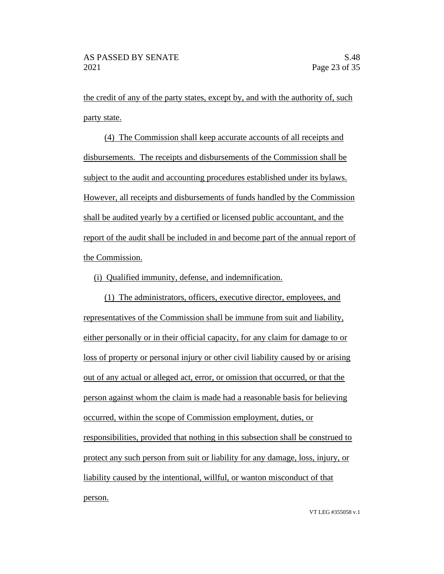the credit of any of the party states, except by, and with the authority of, such party state.

(4) The Commission shall keep accurate accounts of all receipts and disbursements. The receipts and disbursements of the Commission shall be subject to the audit and accounting procedures established under its bylaws. However, all receipts and disbursements of funds handled by the Commission shall be audited yearly by a certified or licensed public accountant, and the report of the audit shall be included in and become part of the annual report of the Commission.

## (i) Qualified immunity, defense, and indemnification.

(1) The administrators, officers, executive director, employees, and representatives of the Commission shall be immune from suit and liability, either personally or in their official capacity, for any claim for damage to or loss of property or personal injury or other civil liability caused by or arising out of any actual or alleged act, error, or omission that occurred, or that the person against whom the claim is made had a reasonable basis for believing occurred, within the scope of Commission employment, duties, or responsibilities, provided that nothing in this subsection shall be construed to protect any such person from suit or liability for any damage, loss, injury, or liability caused by the intentional, willful, or wanton misconduct of that person.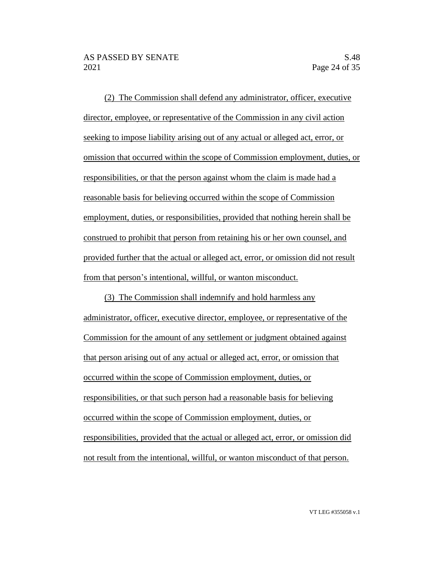(2) The Commission shall defend any administrator, officer, executive director, employee, or representative of the Commission in any civil action seeking to impose liability arising out of any actual or alleged act, error, or omission that occurred within the scope of Commission employment, duties, or responsibilities, or that the person against whom the claim is made had a reasonable basis for believing occurred within the scope of Commission employment, duties, or responsibilities, provided that nothing herein shall be construed to prohibit that person from retaining his or her own counsel, and provided further that the actual or alleged act, error, or omission did not result from that person's intentional, willful, or wanton misconduct.

(3) The Commission shall indemnify and hold harmless any administrator, officer, executive director, employee, or representative of the Commission for the amount of any settlement or judgment obtained against that person arising out of any actual or alleged act, error, or omission that occurred within the scope of Commission employment, duties, or responsibilities, or that such person had a reasonable basis for believing occurred within the scope of Commission employment, duties, or responsibilities, provided that the actual or alleged act, error, or omission did not result from the intentional, willful, or wanton misconduct of that person.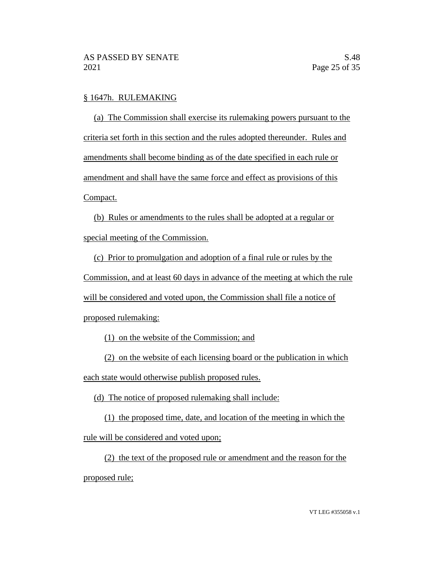## § 1647h. RULEMAKING

(a) The Commission shall exercise its rulemaking powers pursuant to the criteria set forth in this section and the rules adopted thereunder. Rules and amendments shall become binding as of the date specified in each rule or amendment and shall have the same force and effect as provisions of this Compact.

(b) Rules or amendments to the rules shall be adopted at a regular or special meeting of the Commission.

(c) Prior to promulgation and adoption of a final rule or rules by the Commission, and at least 60 days in advance of the meeting at which the rule will be considered and voted upon, the Commission shall file a notice of proposed rulemaking:

(1) on the website of the Commission; and

(2) on the website of each licensing board or the publication in which each state would otherwise publish proposed rules.

(d) The notice of proposed rulemaking shall include:

(1) the proposed time, date, and location of the meeting in which the rule will be considered and voted upon;

(2) the text of the proposed rule or amendment and the reason for the proposed rule;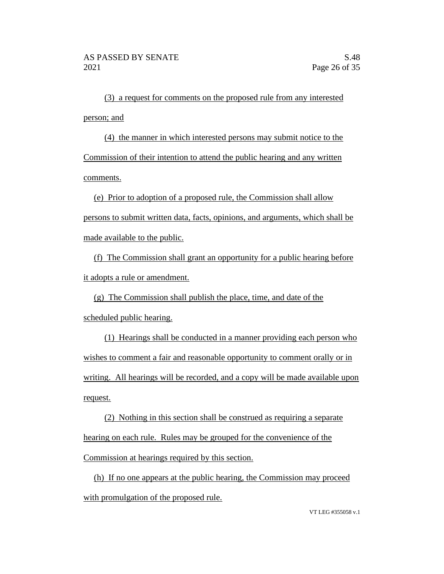(3) a request for comments on the proposed rule from any interested person; and

(4) the manner in which interested persons may submit notice to the Commission of their intention to attend the public hearing and any written comments.

(e) Prior to adoption of a proposed rule, the Commission shall allow persons to submit written data, facts, opinions, and arguments, which shall be made available to the public.

(f) The Commission shall grant an opportunity for a public hearing before it adopts a rule or amendment.

(g) The Commission shall publish the place, time, and date of the scheduled public hearing.

(1) Hearings shall be conducted in a manner providing each person who wishes to comment a fair and reasonable opportunity to comment orally or in writing. All hearings will be recorded, and a copy will be made available upon request.

(2) Nothing in this section shall be construed as requiring a separate hearing on each rule. Rules may be grouped for the convenience of the Commission at hearings required by this section.

(h) If no one appears at the public hearing, the Commission may proceed with promulgation of the proposed rule.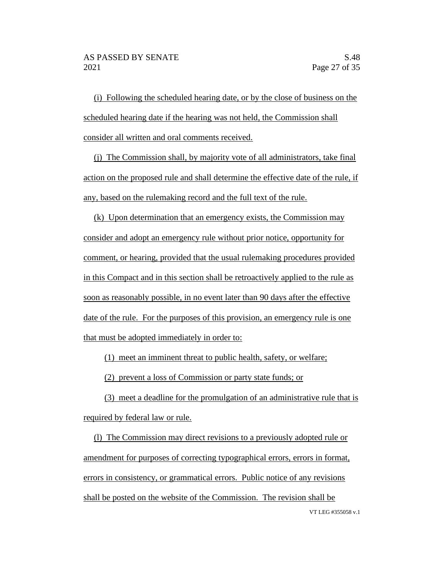(i) Following the scheduled hearing date, or by the close of business on the scheduled hearing date if the hearing was not held, the Commission shall consider all written and oral comments received.

(j) The Commission shall, by majority vote of all administrators, take final action on the proposed rule and shall determine the effective date of the rule, if any, based on the rulemaking record and the full text of the rule.

(k) Upon determination that an emergency exists, the Commission may consider and adopt an emergency rule without prior notice, opportunity for comment, or hearing, provided that the usual rulemaking procedures provided in this Compact and in this section shall be retroactively applied to the rule as soon as reasonably possible, in no event later than 90 days after the effective date of the rule. For the purposes of this provision, an emergency rule is one that must be adopted immediately in order to:

(1) meet an imminent threat to public health, safety, or welfare;

(2) prevent a loss of Commission or party state funds; or

(3) meet a deadline for the promulgation of an administrative rule that is required by federal law or rule.

VT LEG #355058 v.1 (l) The Commission may direct revisions to a previously adopted rule or amendment for purposes of correcting typographical errors, errors in format, errors in consistency, or grammatical errors. Public notice of any revisions shall be posted on the website of the Commission. The revision shall be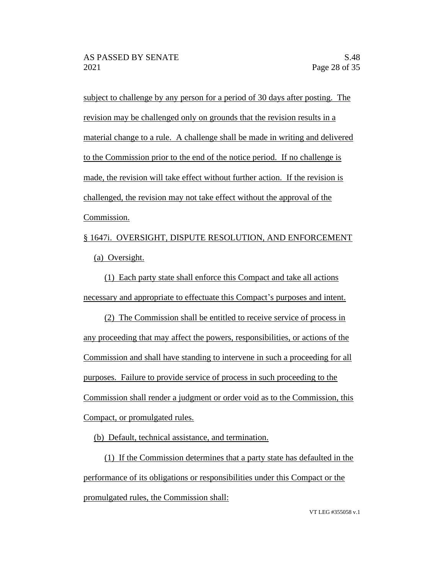subject to challenge by any person for a period of 30 days after posting. The revision may be challenged only on grounds that the revision results in a material change to a rule. A challenge shall be made in writing and delivered to the Commission prior to the end of the notice period. If no challenge is made, the revision will take effect without further action. If the revision is challenged, the revision may not take effect without the approval of the Commission.

§ 1647i. OVERSIGHT, DISPUTE RESOLUTION, AND ENFORCEMENT (a) Oversight.

(1) Each party state shall enforce this Compact and take all actions necessary and appropriate to effectuate this Compact's purposes and intent.

(2) The Commission shall be entitled to receive service of process in any proceeding that may affect the powers, responsibilities, or actions of the Commission and shall have standing to intervene in such a proceeding for all purposes. Failure to provide service of process in such proceeding to the Commission shall render a judgment or order void as to the Commission, this Compact, or promulgated rules.

(b) Default, technical assistance, and termination.

(1) If the Commission determines that a party state has defaulted in the performance of its obligations or responsibilities under this Compact or the promulgated rules, the Commission shall:

VT LEG #355058 v.1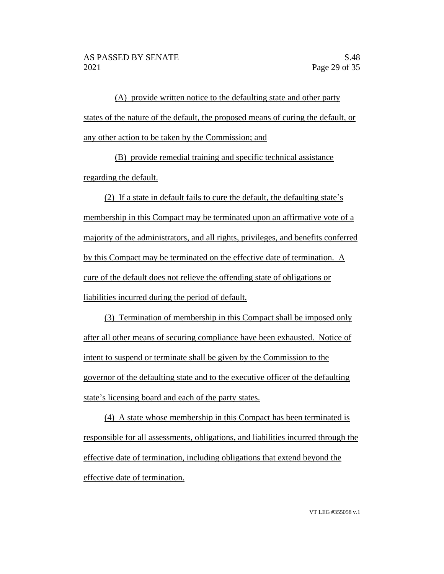(A) provide written notice to the defaulting state and other party states of the nature of the default, the proposed means of curing the default, or any other action to be taken by the Commission; and

(B) provide remedial training and specific technical assistance regarding the default.

(2) If a state in default fails to cure the default, the defaulting state's membership in this Compact may be terminated upon an affirmative vote of a majority of the administrators, and all rights, privileges, and benefits conferred by this Compact may be terminated on the effective date of termination. A cure of the default does not relieve the offending state of obligations or liabilities incurred during the period of default.

(3) Termination of membership in this Compact shall be imposed only after all other means of securing compliance have been exhausted. Notice of intent to suspend or terminate shall be given by the Commission to the governor of the defaulting state and to the executive officer of the defaulting state's licensing board and each of the party states.

(4) A state whose membership in this Compact has been terminated is responsible for all assessments, obligations, and liabilities incurred through the effective date of termination, including obligations that extend beyond the effective date of termination.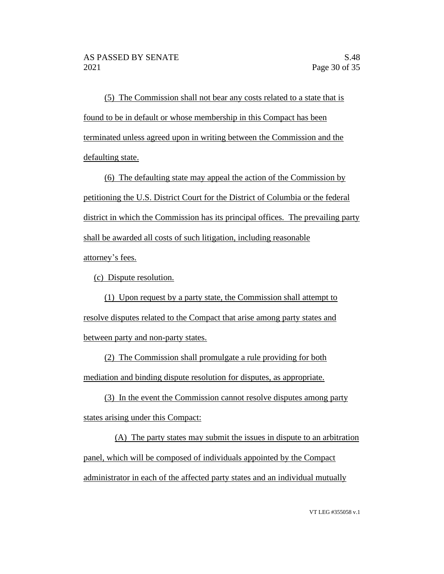(5) The Commission shall not bear any costs related to a state that is found to be in default or whose membership in this Compact has been terminated unless agreed upon in writing between the Commission and the defaulting state.

(6) The defaulting state may appeal the action of the Commission by petitioning the U.S. District Court for the District of Columbia or the federal district in which the Commission has its principal offices. The prevailing party shall be awarded all costs of such litigation, including reasonable attorney's fees.

(c) Dispute resolution.

(1) Upon request by a party state, the Commission shall attempt to resolve disputes related to the Compact that arise among party states and between party and non-party states.

(2) The Commission shall promulgate a rule providing for both mediation and binding dispute resolution for disputes, as appropriate.

(3) In the event the Commission cannot resolve disputes among party states arising under this Compact:

(A) The party states may submit the issues in dispute to an arbitration panel, which will be composed of individuals appointed by the Compact administrator in each of the affected party states and an individual mutually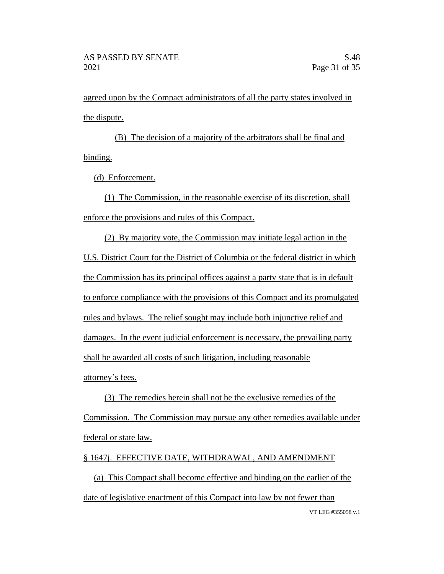agreed upon by the Compact administrators of all the party states involved in the dispute.

(B) The decision of a majority of the arbitrators shall be final and binding.

(d) Enforcement.

(1) The Commission, in the reasonable exercise of its discretion, shall enforce the provisions and rules of this Compact.

(2) By majority vote, the Commission may initiate legal action in the U.S. District Court for the District of Columbia or the federal district in which the Commission has its principal offices against a party state that is in default to enforce compliance with the provisions of this Compact and its promulgated rules and bylaws. The relief sought may include both injunctive relief and damages. In the event judicial enforcement is necessary, the prevailing party shall be awarded all costs of such litigation, including reasonable attorney's fees.

(3) The remedies herein shall not be the exclusive remedies of the Commission. The Commission may pursue any other remedies available under federal or state law.

# § 1647j. EFFECTIVE DATE, WITHDRAWAL, AND AMENDMENT

VT LEG #355058 v.1 (a) This Compact shall become effective and binding on the earlier of the date of legislative enactment of this Compact into law by not fewer than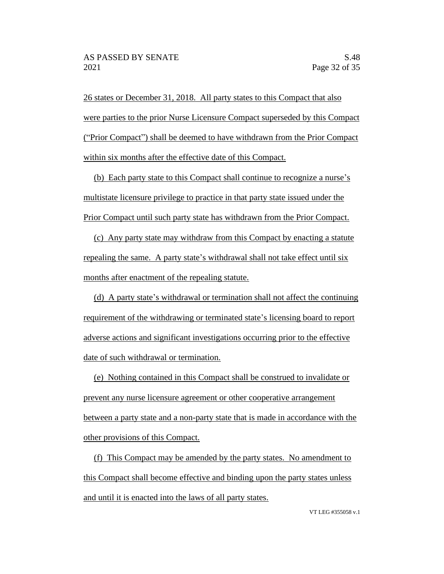26 states or December 31, 2018. All party states to this Compact that also were parties to the prior Nurse Licensure Compact superseded by this Compact ("Prior Compact") shall be deemed to have withdrawn from the Prior Compact within six months after the effective date of this Compact.

(b) Each party state to this Compact shall continue to recognize a nurse's multistate licensure privilege to practice in that party state issued under the Prior Compact until such party state has withdrawn from the Prior Compact.

(c) Any party state may withdraw from this Compact by enacting a statute repealing the same. A party state's withdrawal shall not take effect until six months after enactment of the repealing statute.

(d) A party state's withdrawal or termination shall not affect the continuing requirement of the withdrawing or terminated state's licensing board to report adverse actions and significant investigations occurring prior to the effective date of such withdrawal or termination.

(e) Nothing contained in this Compact shall be construed to invalidate or prevent any nurse licensure agreement or other cooperative arrangement between a party state and a non-party state that is made in accordance with the other provisions of this Compact.

(f) This Compact may be amended by the party states. No amendment to this Compact shall become effective and binding upon the party states unless and until it is enacted into the laws of all party states.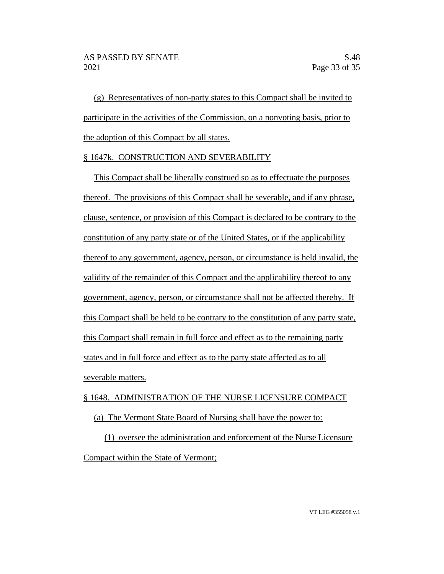(g) Representatives of non-party states to this Compact shall be invited to participate in the activities of the Commission, on a nonvoting basis, prior to the adoption of this Compact by all states.

# § 1647k. CONSTRUCTION AND SEVERABILITY

This Compact shall be liberally construed so as to effectuate the purposes thereof. The provisions of this Compact shall be severable, and if any phrase, clause, sentence, or provision of this Compact is declared to be contrary to the constitution of any party state or of the United States, or if the applicability thereof to any government, agency, person, or circumstance is held invalid, the validity of the remainder of this Compact and the applicability thereof to any government, agency, person, or circumstance shall not be affected thereby. If this Compact shall be held to be contrary to the constitution of any party state, this Compact shall remain in full force and effect as to the remaining party states and in full force and effect as to the party state affected as to all severable matters.

#### § 1648. ADMINISTRATION OF THE NURSE LICENSURE COMPACT

#### (a) The Vermont State Board of Nursing shall have the power to:

(1) oversee the administration and enforcement of the Nurse Licensure Compact within the State of Vermont;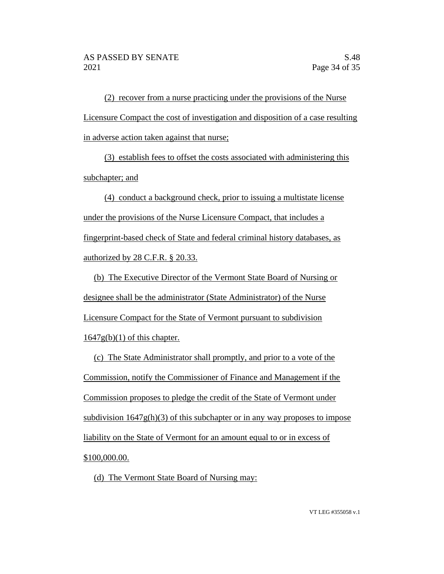(2) recover from a nurse practicing under the provisions of the Nurse Licensure Compact the cost of investigation and disposition of a case resulting in adverse action taken against that nurse;

(3) establish fees to offset the costs associated with administering this subchapter; and

(4) conduct a background check, prior to issuing a multistate license under the provisions of the Nurse Licensure Compact, that includes a fingerprint-based check of State and federal criminal history databases, as authorized by 28 C.F.R. § 20.33.

(b) The Executive Director of the Vermont State Board of Nursing or designee shall be the administrator (State Administrator) of the Nurse Licensure Compact for the State of Vermont pursuant to subdivision  $1647g(b)(1)$  of this chapter.

(c) The State Administrator shall promptly, and prior to a vote of the Commission, notify the Commissioner of Finance and Management if the Commission proposes to pledge the credit of the State of Vermont under subdivision  $1647g(h)(3)$  of this subchapter or in any way proposes to impose liability on the State of Vermont for an amount equal to or in excess of  $$100,000.00.$ 

(d) The Vermont State Board of Nursing may: